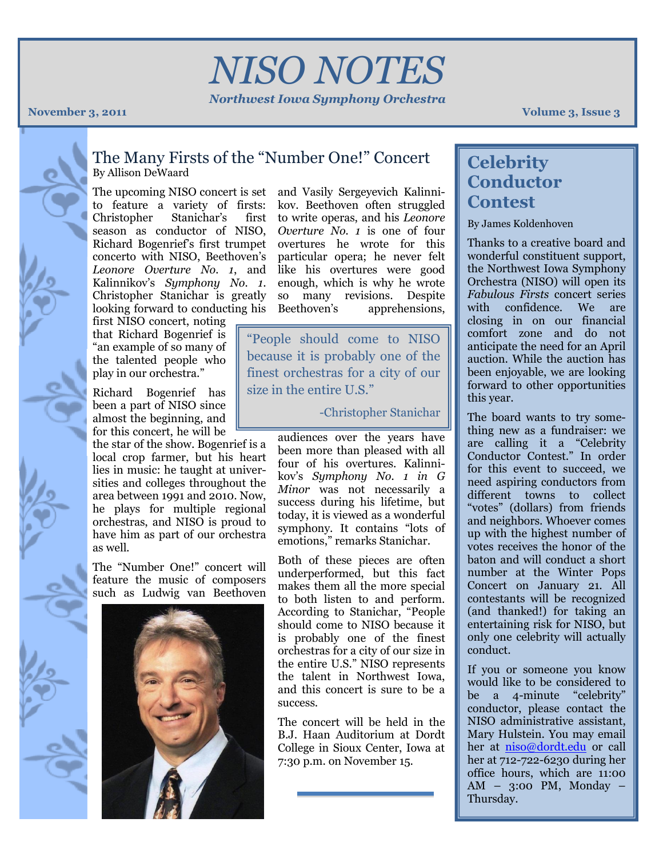# *NISO NOTES*

*Northwest Iowa Symphony Orchestra*

**November 3, 2011 Volume 3, 1980 <b>Volume 3, 1980 Volume 3, 1980 Volume 3, 1980 Volume 3, 1980 Volume 3, 1980 3** 

### The Many Firsts of the "Number One!" Concert By Allison DeWaard

The upcoming NISO concert is set and Vasily Sergeyevich Kalinnito feature a variety of firsts: Christopher Stanichar's season as conductor of NISO, Richard Bogenrief's first trumpet overtures he wrote for this concerto with NISO, Beethoven's *Leonore Overture No. 1*, and like his overtures were good Kalinnikov's *Symphony No. 1*. Christopher Stanichar is greatly looking forward to conducting his Beethoven's

first NISO concert, noting that Richard Bogenrief is "an example of so many of the talented people who play in our orchestra."

Richard Bogenrief has been a part of NISO since almost the beginning, and for this concert, he will be

the star of the show. Bogenrief is a local crop farmer, but his heart lies in music: he taught at universities and colleges throughout the area between 1991 and 2010. Now, he plays for multiple regional orchestras, and NISO is proud to have him as part of our orchestra as well.

The "Number One!" concert will feature the music of composers such as Ludwig van Beethoven



kov. Beethoven often struggled to write operas, and his *Leonore Overture No. 1* is one of four particular opera; he never felt enough, which is why he wrote so many revisions. Despite apprehensions,

"People should come to NISO because it is probably one of the finest orchestras for a city of our size in the entire U.S."

-Christopher Stanichar

audiences over the years have been more than pleased with all four of his overtures. Kalinnikov's *Symphony No. 1 in G Minor* was not necessarily a success during his lifetime, but today, it is viewed as a wonderful symphony. It contains "lots of emotions," remarks Stanichar.

Both of these pieces are often underperformed, but this fact makes them all the more special to both listen to and perform. According to Stanichar, "People should come to NISO because it is probably one of the finest orchestras for a city of our size in the entire U.S." NISO represents the talent in Northwest Iowa, and this concert is sure to be a success.

The concert will be held in the B.J. Haan Auditorium at Dordt College in Sioux Center, Iowa at 7:30 p.m. on November 15.

## **Celebrity Conductor Contest**

By James Koldenhoven

Thanks to a creative board and wonderful constituent support, the Northwest Iowa Symphony Orchestra (NISO) will open its *Fabulous Firsts* concert series with confidence. We are closing in on our financial comfort zone and do not anticipate the need for an April auction. While the auction has been enjoyable, we are looking forward to other opportunities this year.

The board wants to try something new as a fundraiser: we are calling it a "Celebrity Conductor Contest." In order for this event to succeed, we need aspiring conductors from different towns to collect "votes" (dollars) from friends and neighbors. Whoever comes up with the highest number of votes receives the honor of the baton and will conduct a short number at the Winter Pops Concert on January 21. All contestants will be recognized (and thanked!) for taking an entertaining risk for NISO, but only one celebrity will actually conduct.

If you or someone you know would like to be considered to be a 4-minute "celebrity" conductor, please contact the NISO administrative assistant, Mary Hulstein. You may email her at [niso@dordt.edu](mailto:niso@dordt.edu) or call her at 712-722-6230 during her office hours, which are 11:00 AM – 3:00 PM, Monday – Thursday.